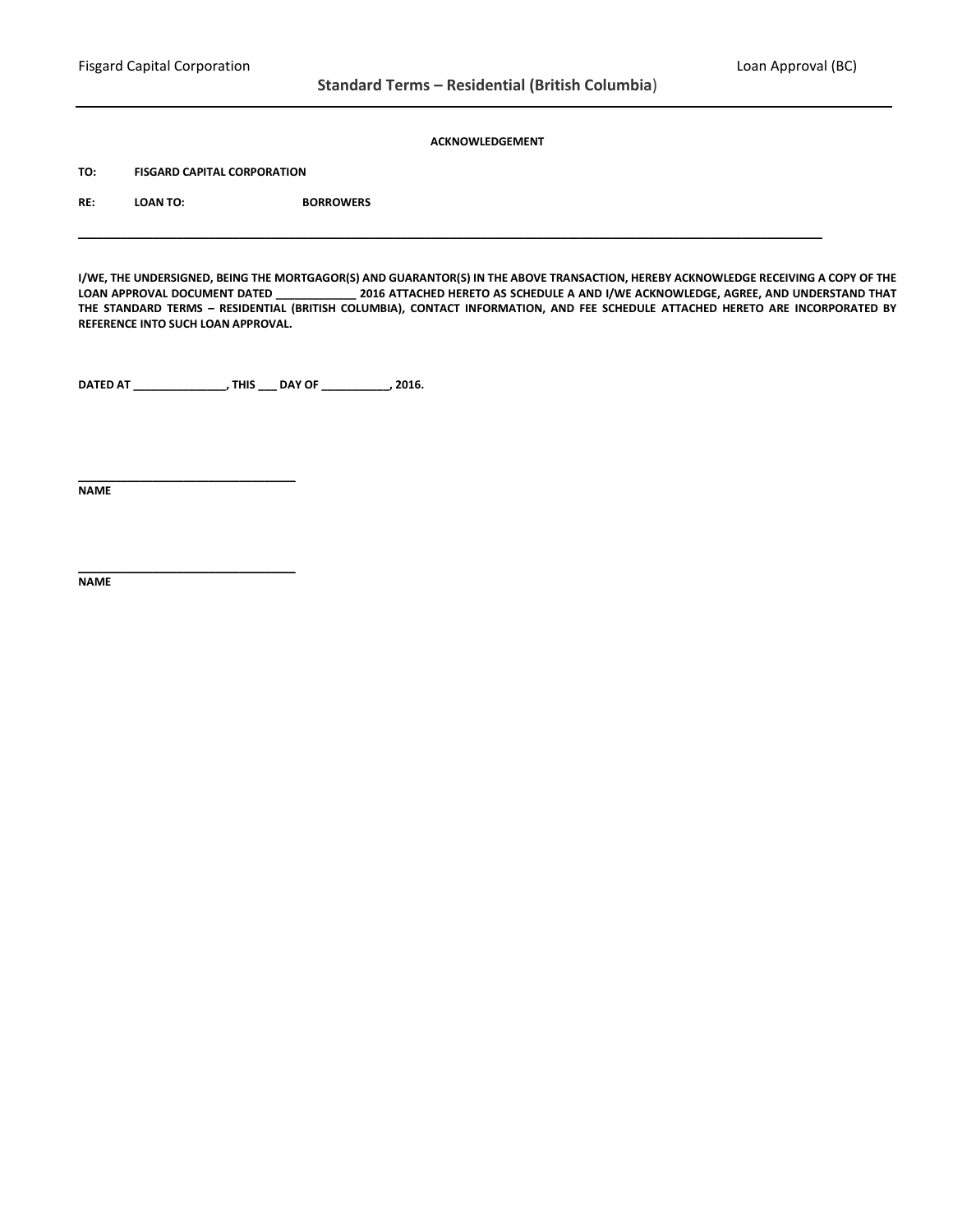### **ACKNOWLEDGEMENT**

**TO: FISGARD CAPITAL CORPORATION**

**\_\_\_\_\_\_\_\_\_\_\_\_\_\_\_\_\_\_\_\_\_\_\_\_\_\_\_\_\_\_\_\_\_\_\_**

**RE: LOAN TO: BORROWERS**

**I/WE, THE UNDERSIGNED, BEING THE MORTGAGOR(S) AND GUARANTOR(S) IN THE ABOVE TRANSACTION, HEREBY ACKNOWLEDGE RECEIVING A COPY OF THE LOAN APPROVAL DOCUMENT DATED \_\_\_\_\_\_\_\_\_\_\_\_\_ 2016 ATTACHED HERETO AS SCHEDULE A AND I/WE ACKNOWLEDGE, AGREE, AND UNDERSTAND THAT THE STANDARD TERMS – RESIDENTIAL (BRITISH COLUMBIA), CONTACT INFORMATION, AND FEE SCHEDULE ATTACHED HERETO ARE INCORPORATED BY REFERENCE INTO SUCH LOAN APPROVAL.**

**\_\_\_\_\_\_\_\_\_\_\_\_\_\_\_\_\_\_\_\_\_\_\_\_\_\_\_\_\_\_\_\_\_\_\_\_\_\_\_\_\_\_\_\_\_\_\_\_\_\_\_\_\_\_\_\_\_\_\_\_\_\_\_\_\_\_\_\_\_\_\_\_\_\_\_\_\_\_\_\_\_\_\_\_\_\_\_\_\_\_\_\_\_\_\_\_\_\_\_\_\_\_\_\_\_\_\_\_\_\_\_\_\_\_\_\_\_\_\_\_**

**DATED AT \_\_\_\_\_\_\_\_\_\_\_\_\_\_\_, THIS \_\_\_ DAY OF \_\_\_\_\_\_\_\_\_\_\_, 2016.**

**NAME** 

**\_\_\_\_\_\_\_\_\_\_\_\_\_\_\_\_\_\_\_\_\_\_\_\_\_\_\_\_\_\_\_\_\_\_\_ NAME**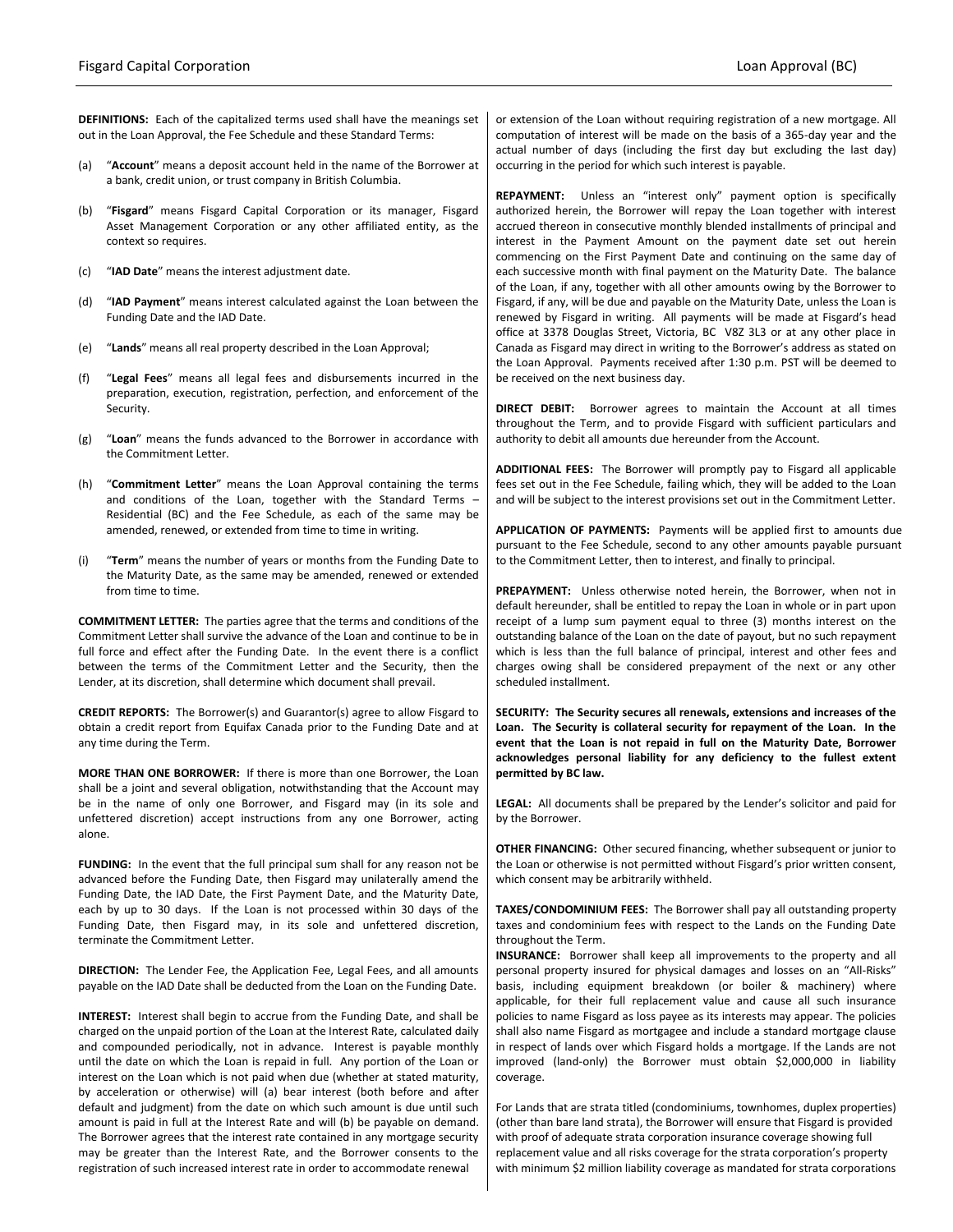**DEFINITIONS:** Each of the capitalized terms used shall have the meanings set out in the Loan Approval, the Fee Schedule and these Standard Terms:

- (a) "**Account**" means a deposit account held in the name of the Borrower at a bank, credit union, or trust company in British Columbia.
- (b) "**Fisgard**" means Fisgard Capital Corporation or its manager, Fisgard Asset Management Corporation or any other affiliated entity, as the context so requires.
- (c) "**IAD Date**" means the interest adjustment date.
- (d) "**IAD Payment**" means interest calculated against the Loan between the Funding Date and the IAD Date.
- (e) "**Lands**" means all real property described in the Loan Approval;
- (f) "**Legal Fees**" means all legal fees and disbursements incurred in the preparation, execution, registration, perfection, and enforcement of the Security.
- (g) "**Loan**" means the funds advanced to the Borrower in accordance with the Commitment Letter.
- (h) "**Commitment Letter**" means the Loan Approval containing the terms and conditions of the Loan, together with the Standard Terms – Residential (BC) and the Fee Schedule, as each of the same may be amended, renewed, or extended from time to time in writing.
- (i) "**Term**" means the number of years or months from the Funding Date to the Maturity Date, as the same may be amended, renewed or extended from time to time.

**COMMITMENT LETTER:** The parties agree that the terms and conditions of the Commitment Letter shall survive the advance of the Loan and continue to be in full force and effect after the Funding Date. In the event there is a conflict between the terms of the Commitment Letter and the Security, then the Lender, at its discretion, shall determine which document shall prevail.

**CREDIT REPORTS:** The Borrower(s) and Guarantor(s) agree to allow Fisgard to obtain a credit report from Equifax Canada prior to the Funding Date and at any time during the Term.

**MORE THAN ONE BORROWER:** If there is more than one Borrower, the Loan shall be a joint and several obligation, notwithstanding that the Account may be in the name of only one Borrower, and Fisgard may (in its sole and unfettered discretion) accept instructions from any one Borrower, acting alone.

**FUNDING:** In the event that the full principal sum shall for any reason not be advanced before the Funding Date, then Fisgard may unilaterally amend the Funding Date, the IAD Date, the First Payment Date, and the Maturity Date, each by up to 30 days. If the Loan is not processed within 30 days of the Funding Date, then Fisgard may, in its sole and unfettered discretion, terminate the Commitment Letter.

**DIRECTION:** The Lender Fee, the Application Fee, Legal Fees, and all amounts payable on the IAD Date shall be deducted from the Loan on the Funding Date.

**INTEREST:** Interest shall begin to accrue from the Funding Date, and shall be charged on the unpaid portion of the Loan at the Interest Rate, calculated daily and compounded periodically, not in advance. Interest is payable monthly until the date on which the Loan is repaid in full. Any portion of the Loan or interest on the Loan which is not paid when due (whether at stated maturity, by acceleration or otherwise) will (a) bear interest (both before and after default and judgment) from the date on which such amount is due until such amount is paid in full at the Interest Rate and will (b) be payable on demand. The Borrower agrees that the interest rate contained in any mortgage security may be greater than the Interest Rate, and the Borrower consents to the registration of such increased interest rate in order to accommodate renewal

or extension of the Loan without requiring registration of a new mortgage. All computation of interest will be made on the basis of a 365-day year and the actual number of days (including the first day but excluding the last day) occurring in the period for which such interest is payable.

**REPAYMENT:** Unless an "interest only" payment option is specifically authorized herein, the Borrower will repay the Loan together with interest accrued thereon in consecutive monthly blended installments of principal and interest in the Payment Amount on the payment date set out herein commencing on the First Payment Date and continuing on the same day of each successive month with final payment on the Maturity Date. The balance of the Loan, if any, together with all other amounts owing by the Borrower to Fisgard, if any, will be due and payable on the Maturity Date, unless the Loan is renewed by Fisgard in writing. All payments will be made at Fisgard's head office at 3378 Douglas Street, Victoria, BC V8Z 3L3 or at any other place in Canada as Fisgard may direct in writing to the Borrower's address as stated on the Loan Approval. Payments received after 1:30 p.m. PST will be deemed to be received on the next business day.

**DIRECT DEBIT:** Borrower agrees to maintain the Account at all times throughout the Term, and to provide Fisgard with sufficient particulars and authority to debit all amounts due hereunder from the Account.

**ADDITIONAL FEES:** The Borrower will promptly pay to Fisgard all applicable fees set out in the Fee Schedule, failing which, they will be added to the Loan and will be subject to the interest provisions set out in the Commitment Letter.

**APPLICATION OF PAYMENTS:** Payments will be applied first to amounts due pursuant to the Fee Schedule, second to any other amounts payable pursuant to the Commitment Letter, then to interest, and finally to principal.

**PREPAYMENT:** Unless otherwise noted herein, the Borrower, when not in default hereunder, shall be entitled to repay the Loan in whole or in part upon receipt of a lump sum payment equal to three (3) months interest on the outstanding balance of the Loan on the date of payout, but no such repayment which is less than the full balance of principal, interest and other fees and charges owing shall be considered prepayment of the next or any other scheduled installment.

**SECURITY: The Security secures all renewals, extensions and increases of the Loan. The Security is collateral security for repayment of the Loan. In the event that the Loan is not repaid in full on the Maturity Date, Borrower acknowledges personal liability for any deficiency to the fullest extent permitted by BC law.**

**LEGAL:** All documents shall be prepared by the Lender's solicitor and paid for by the Borrower.

**OTHER FINANCING:** Other secured financing, whether subsequent or junior to the Loan or otherwise is not permitted without Fisgard's prior written consent, which consent may be arbitrarily withheld.

**TAXES/CONDOMINIUM FEES:** The Borrower shall pay all outstanding property taxes and condominium fees with respect to the Lands on the Funding Date throughout the Term.

**INSURANCE:** Borrower shall keep all improvements to the property and all personal property insured for physical damages and losses on an "All-Risks" basis, including equipment breakdown (or boiler & machinery) where applicable, for their full replacement value and cause all such insurance policies to name Fisgard as loss payee as its interests may appear. The policies shall also name Fisgard as mortgagee and include a standard mortgage clause in respect of lands over which Fisgard holds a mortgage. If the Lands are not improved (land-only) the Borrower must obtain \$2,000,000 in liability coverage.

For Lands that are strata titled (condominiums, townhomes, duplex properties) (other than bare land strata), the Borrower will ensure that Fisgard is provided with proof of adequate strata corporation insurance coverage showing full replacement value and all risks coverage for the strata corporation's property with minimum \$2 million liability coverage as mandated for strata corporations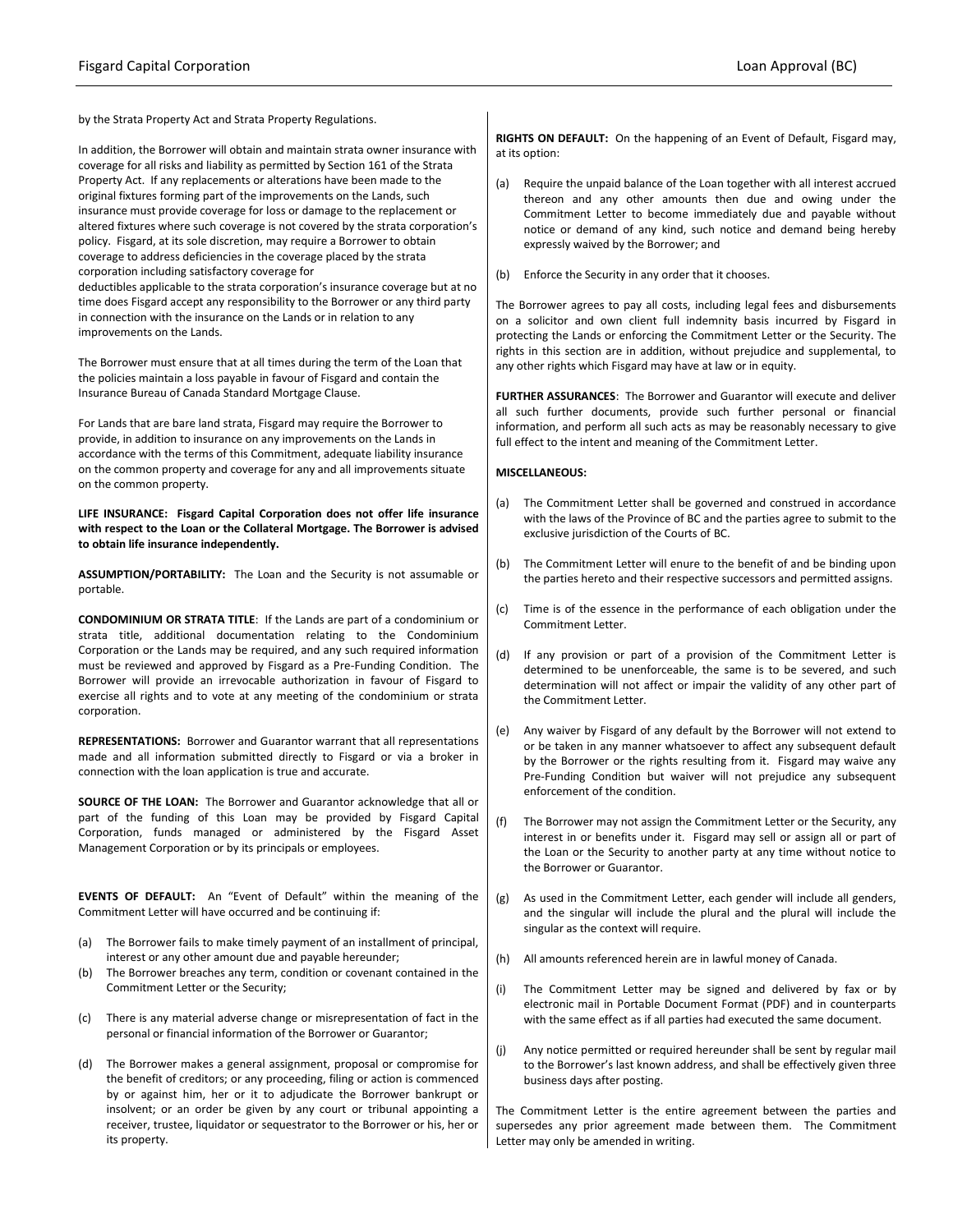improvements on the Lands.

by the Strata Property Act and Strata Property Regulations.

In addition, the Borrower will obtain and maintain strata owner insurance with coverage for all risks and liability as permitted by Section 161 of the Strata Property Act. If any replacements or alterations have been made to the original fixtures forming part of the improvements on the Lands, such insurance must provide coverage for loss or damage to the replacement or altered fixtures where such coverage is not covered by the strata corporation's policy. Fisgard, at its sole discretion, may require a Borrower to obtain coverage to address deficiencies in the coverage placed by the strata corporation including satisfactory coverage for deductibles applicable to the strata corporation's insurance coverage but at no time does Fisgard accept any responsibility to the Borrower or any third party in connection with the insurance on the Lands or in relation to any

The Borrower must ensure that at all times during the term of the Loan that

the policies maintain a loss payable in favour of Fisgard and contain the Insurance Bureau of Canada Standard Mortgage Clause.

For Lands that are bare land strata, Fisgard may require the Borrower to provide, in addition to insurance on any improvements on the Lands in accordance with the terms of this Commitment, adequate liability insurance on the common property and coverage for any and all improvements situate on the common property.

**LIFE INSURANCE: Fisgard Capital Corporation does not offer life insurance with respect to the Loan or the Collateral Mortgage. The Borrower is advised to obtain life insurance independently.**

**ASSUMPTION/PORTABILITY:** The Loan and the Security is not assumable or portable.

**CONDOMINIUM OR STRATA TITLE**: If the Lands are part of a condominium or strata title, additional documentation relating to the Condominium Corporation or the Lands may be required, and any such required information must be reviewed and approved by Fisgard as a Pre-Funding Condition. The Borrower will provide an irrevocable authorization in favour of Fisgard to exercise all rights and to vote at any meeting of the condominium or strata corporation.

**REPRESENTATIONS:** Borrower and Guarantor warrant that all representations made and all information submitted directly to Fisgard or via a broker in connection with the loan application is true and accurate.

**SOURCE OF THE LOAN:** The Borrower and Guarantor acknowledge that all or part of the funding of this Loan may be provided by Fisgard Capital Corporation, funds managed or administered by the Fisgard Asset Management Corporation or by its principals or employees.

**EVENTS OF DEFAULT:** An "Event of Default" within the meaning of the Commitment Letter will have occurred and be continuing if:

- (a) The Borrower fails to make timely payment of an installment of principal, interest or any other amount due and payable hereunder;
- (b) The Borrower breaches any term, condition or covenant contained in the Commitment Letter or the Security;
- (c) There is any material adverse change or misrepresentation of fact in the personal or financial information of the Borrower or Guarantor;
- (d) The Borrower makes a general assignment, proposal or compromise for the benefit of creditors; or any proceeding, filing or action is commenced by or against him, her or it to adjudicate the Borrower bankrupt or insolvent; or an order be given by any court or tribunal appointing a receiver, trustee, liquidator or sequestrator to the Borrower or his, her or its property.

**RIGHTS ON DEFAULT:** On the happening of an Event of Default, Fisgard may, at its option:

- (a) Require the unpaid balance of the Loan together with all interest accrued thereon and any other amounts then due and owing under the Commitment Letter to become immediately due and payable without notice or demand of any kind, such notice and demand being hereby expressly waived by the Borrower; and
- (b) Enforce the Security in any order that it chooses.

The Borrower agrees to pay all costs, including legal fees and disbursements on a solicitor and own client full indemnity basis incurred by Fisgard in protecting the Lands or enforcing the Commitment Letter or the Security. The rights in this section are in addition, without prejudice and supplemental, to any other rights which Fisgard may have at law or in equity.

**FURTHER ASSURANCES**: The Borrower and Guarantor will execute and deliver all such further documents, provide such further personal or financial information, and perform all such acts as may be reasonably necessary to give full effect to the intent and meaning of the Commitment Letter.

#### **MISCELLANEOUS:**

- (a) The Commitment Letter shall be governed and construed in accordance with the laws of the Province of BC and the parties agree to submit to the exclusive jurisdiction of the Courts of BC.
- (b) The Commitment Letter will enure to the benefit of and be binding upon the parties hereto and their respective successors and permitted assigns.
- (c) Time is of the essence in the performance of each obligation under the Commitment Letter.
- (d) If any provision or part of a provision of the Commitment Letter is determined to be unenforceable, the same is to be severed, and such determination will not affect or impair the validity of any other part of the Commitment Letter.
- (e) Any waiver by Fisgard of any default by the Borrower will not extend to or be taken in any manner whatsoever to affect any subsequent default by the Borrower or the rights resulting from it. Fisgard may waive any Pre-Funding Condition but waiver will not prejudice any subsequent enforcement of the condition.
- (f) The Borrower may not assign the Commitment Letter or the Security, any interest in or benefits under it. Fisgard may sell or assign all or part of the Loan or the Security to another party at any time without notice to the Borrower or Guarantor.
- (g) As used in the Commitment Letter, each gender will include all genders, and the singular will include the plural and the plural will include the singular as the context will require.
- (h) All amounts referenced herein are in lawful money of Canada.
- (i) The Commitment Letter may be signed and delivered by fax or by electronic mail in Portable Document Format (PDF) and in counterparts with the same effect as if all parties had executed the same document.
- (j) Any notice permitted or required hereunder shall be sent by regular mail to the Borrower's last known address, and shall be effectively given three business days after posting.

The Commitment Letter is the entire agreement between the parties and supersedes any prior agreement made between them. The Commitment Letter may only be amended in writing.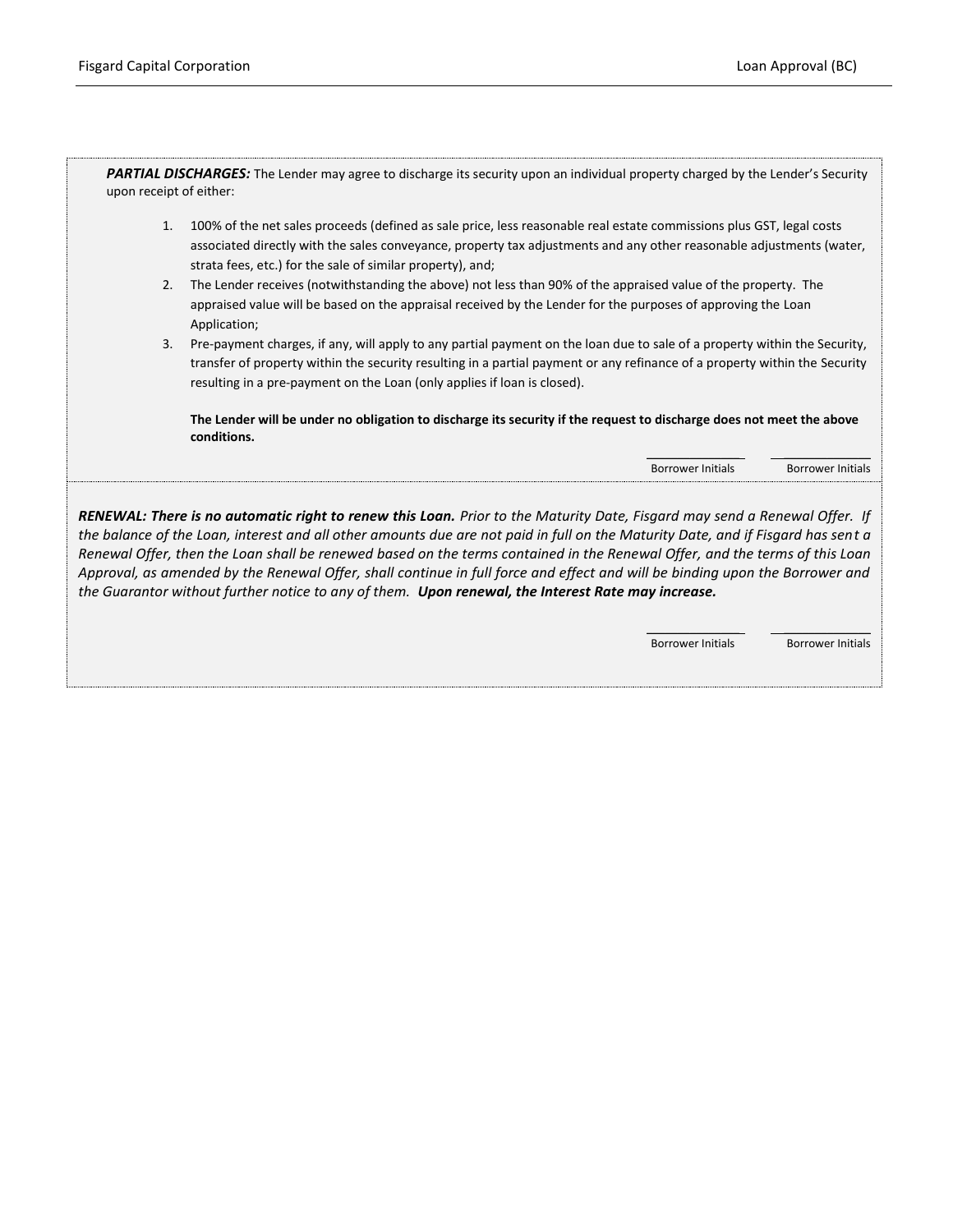PARTIAL DISCHARGES: The Lender may agree to discharge its security upon an individual property charged by the Lender's Security upon receipt of either:

- 1. 100% of the net sales proceeds (defined as sale price, less reasonable real estate commissions plus GST, legal costs associated directly with the sales conveyance, property tax adjustments and any other reasonable adjustments (water, strata fees, etc.) for the sale of similar property), and;
- 2. The Lender receives (notwithstanding the above) not less than 90% of the appraised value of the property. The appraised value will be based on the appraisal received by the Lender for the purposes of approving the Loan Application;
- 3. Pre-payment charges, if any, will apply to any partial payment on the loan due to sale of a property within the Security, transfer of property within the security resulting in a partial payment or any refinance of a property within the Security resulting in a pre-payment on the Loan (only applies if loan is closed).

**The Lender will be under no obligation to discharge its security if the request to discharge does not meet the above conditions.**

> \_\_\_\_\_\_\_\_\_\_\_\_\_\_\_ \_\_\_\_\_\_\_\_\_\_\_\_\_\_ Borrower Initials Borrower Initials

*RENEWAL: There is no automatic right to renew this Loan. Prior to the Maturity Date, Fisgard may send a Renewal Offer. If the balance of the Loan, interest and all other amounts due are not paid in full on the Maturity Date, and if Fisgard has sent a Renewal Offer, then the Loan shall be renewed based on the terms contained in the Renewal Offer, and the terms of this Loan Approval, as amended by the Renewal Offer, shall continue in full force and effect and will be binding upon the Borrower and the Guarantor without further notice to any of them. Upon renewal, the Interest Rate may increase.*

> \_\_\_\_\_\_\_\_\_\_\_\_\_\_\_ \_\_\_\_\_\_\_\_\_\_\_\_\_\_ Borrower Initials Borrower Initials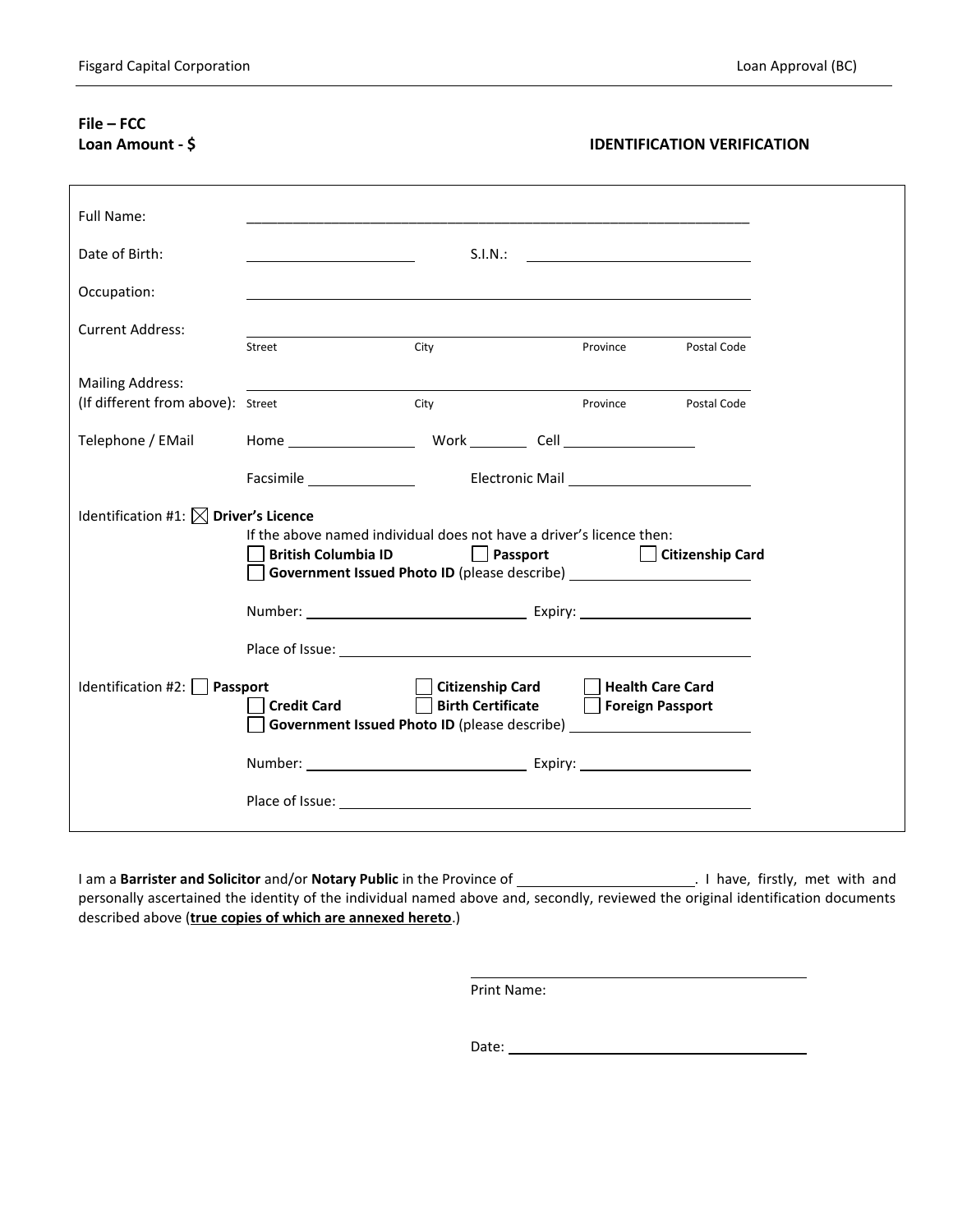# **File – FCC**

## **Loan Amount - \$ IDENTIFICATION VERIFICATION**

| <b>Full Name:</b>                                                                                                                                                                  |                                                                                                                            |                                                                                                                                                   |                  |             |  |
|------------------------------------------------------------------------------------------------------------------------------------------------------------------------------------|----------------------------------------------------------------------------------------------------------------------------|---------------------------------------------------------------------------------------------------------------------------------------------------|------------------|-------------|--|
| Date of Birth:                                                                                                                                                                     |                                                                                                                            | S.I.N.:                                                                                                                                           |                  |             |  |
| Occupation:                                                                                                                                                                        |                                                                                                                            |                                                                                                                                                   |                  |             |  |
| <b>Current Address:</b>                                                                                                                                                            | Street                                                                                                                     | City                                                                                                                                              | Province         | Postal Code |  |
| <b>Mailing Address:</b><br>(If different from above): Street                                                                                                                       |                                                                                                                            |                                                                                                                                                   |                  |             |  |
| Telephone / EMail                                                                                                                                                                  |                                                                                                                            | City<br>Home Work Cell                                                                                                                            | Province         | Postal Code |  |
| Identification #1: $\boxtimes$ Driver's Licence<br>If the above named individual does not have a driver's licence then:<br><b>British Columbia ID</b><br>Passport Citizenship Card |                                                                                                                            |                                                                                                                                                   |                  |             |  |
|                                                                                                                                                                                    | Government Issued Photo ID (please describe) ___________________________________<br>Number: <u>Number:</u> Expiry: Number: |                                                                                                                                                   |                  |             |  |
| Identification #2: $\Box$                                                                                                                                                          | Passport<br><b>Credit Card</b>                                                                                             | Citizenship Card Health Care Card<br><b>Birth Certificate</b><br>Government Issued Photo ID (please describe) ___________________________________ | Foreign Passport |             |  |
|                                                                                                                                                                                    |                                                                                                                            | Number: Number: Expiry: Number:                                                                                                                   |                  |             |  |
|                                                                                                                                                                                    |                                                                                                                            |                                                                                                                                                   |                  |             |  |

I am a **Barrister and Solicitor** and/or **Notary Public** in the Province of . I have, firstly, met with and personally ascertained the identity of the individual named above and, secondly, reviewed the original identification documents described above (**true copies of which are annexed hereto**.)

Print Name:

Date: when the contract of the contract of the contract of the contract of the contract of the contract of the contract of the contract of the contract of the contract of the contract of the contract of the contract of the